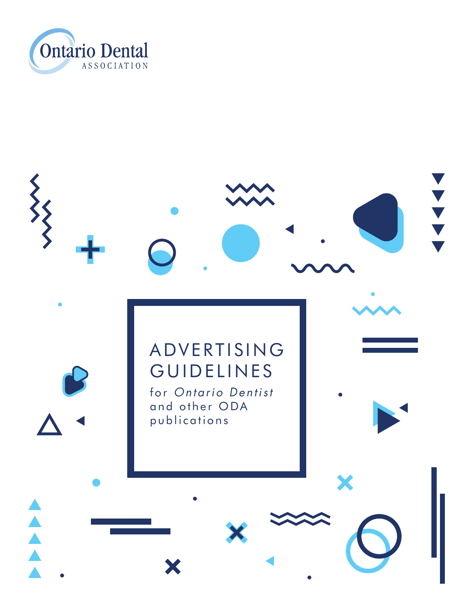